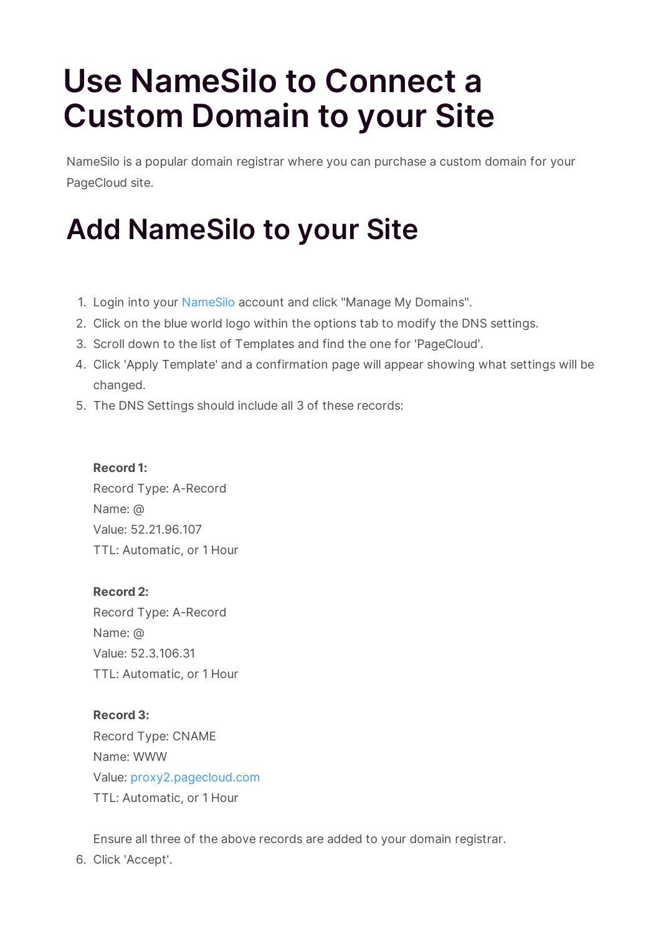# **Use NameSilo to Connect a Custom Domain to your Site**

NameSilo is a popular domain registrar where you can purchase a custom domain for your PageCloud site.

## **Add NameSilo to your Site**

- 1. Login into your NameSilo account and click "Manage My Domains".
- 2. Click on the blue world logo within the options tab to modify the DNS settings.
- 3. Scroll down to the list of Templates and find the one for 'PageCloud'.
- 4. Click 'Apply Template' and a confirmation page will appear showing what settings will be changed.
- 5. The DNS Settings should include all 3 of these records:

#### **Record 1:**

Record Type: A-Record Name: @ Value: 52.21.96.107 TTL: Automatic, or 1 Hour

#### **Record 2:**

Record Type: A-Record Name: @ Value: 52.3.106.31 TTL: Automatic, or 1 Hour

### **Record 3:**

Record Type: CNAME Name: WWW Value: proxy2.pagecloud.com TTL: Automatic, or 1 Hour

Ensure all three of the above records are added to your domain registrar.

6. Click 'Accept'.